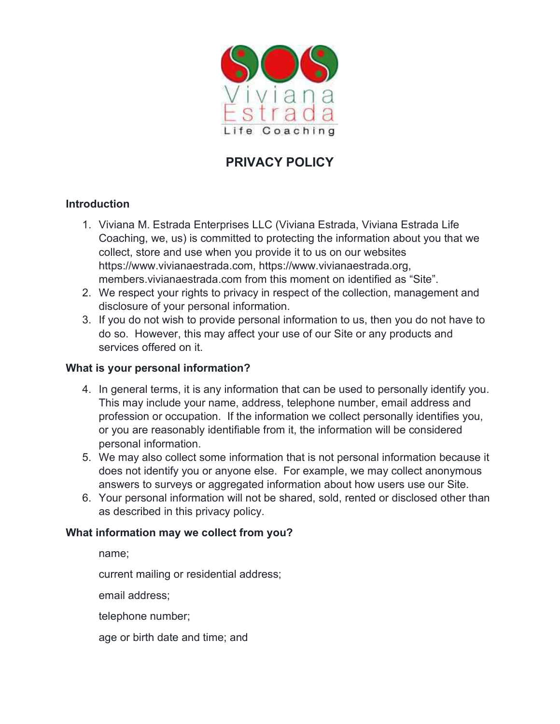

# PRIVACY POLICY

## Introduction

- 1. Viviana M. Estrada Enterprises LLC (Viviana Estrada, Viviana Estrada Life Coaching, we, us) is committed to protecting the information about you that we collect, store and use when you provide it to us on our websites https://www.vivianaestrada.com, https://www.vivianaestrada.org, members.vivianaestrada.com from this moment on identified as "Site".
- 2. We respect your rights to privacy in respect of the collection, management and disclosure of your personal information.
- 3. If you do not wish to provide personal information to us, then you do not have to do so. However, this may affect your use of our Site or any products and services offered on it.

#### What is your personal information?

- 4. In general terms, it is any information that can be used to personally identify you. This may include your name, address, telephone number, email address and profession or occupation. If the information we collect personally identifies you, or you are reasonably identifiable from it, the information will be considered personal information.
- 5. We may also collect some information that is not personal information because it does not identify you or anyone else. For example, we may collect anonymous answers to surveys or aggregated information about how users use our Site.
- 6. Your personal information will not be shared, sold, rented or disclosed other than as described in this privacy policy.

## What information may we collect from you?

name;

current mailing or residential address;

email address;

telephone number;

age or birth date and time; and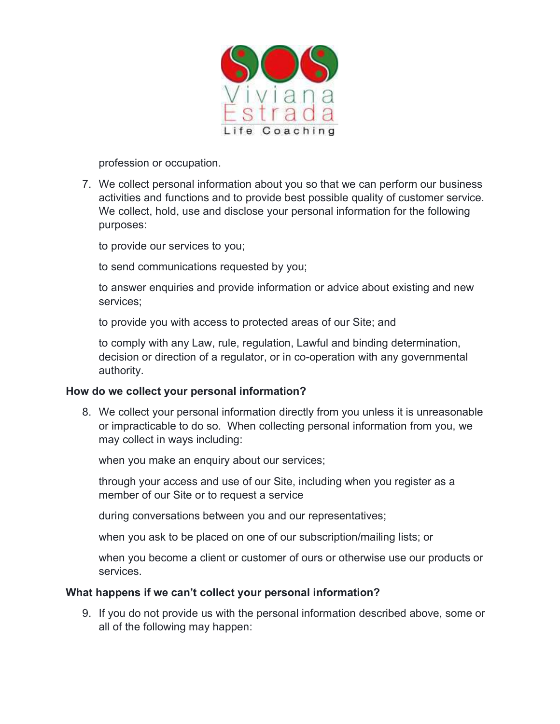

profession or occupation.

7. We collect personal information about you so that we can perform our business activities and functions and to provide best possible quality of customer service. We collect, hold, use and disclose your personal information for the following purposes:

to provide our services to you;

to send communications requested by you;

to answer enquiries and provide information or advice about existing and new services;

to provide you with access to protected areas of our Site; and

to comply with any Law, rule, regulation, Lawful and binding determination, decision or direction of a regulator, or in co-operation with any governmental authority.

#### How do we collect your personal information?

8. We collect your personal information directly from you unless it is unreasonable or impracticable to do so. When collecting personal information from you, we may collect in ways including:

when you make an enquiry about our services;

through your access and use of our Site, including when you register as a member of our Site or to request a service

during conversations between you and our representatives;

when you ask to be placed on one of our subscription/mailing lists; or

when you become a client or customer of ours or otherwise use our products or services.

#### What happens if we can't collect your personal information?

9. If you do not provide us with the personal information described above, some or all of the following may happen: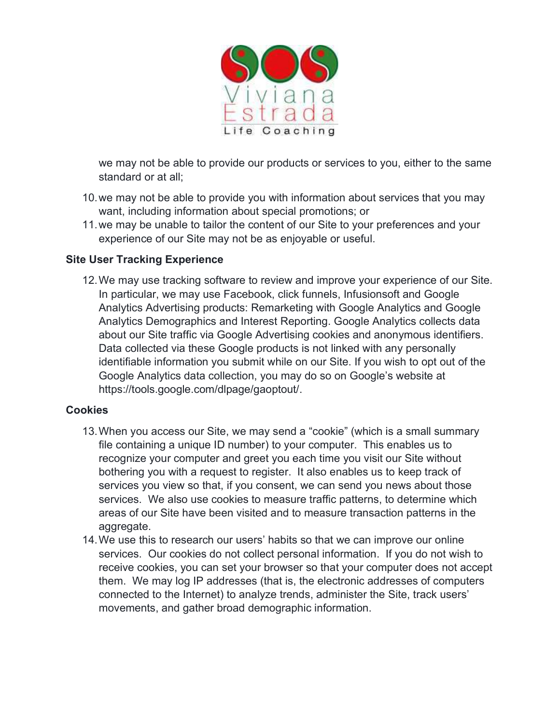

we may not be able to provide our products or services to you, either to the same standard or at all;

- 10. we may not be able to provide you with information about services that you may want, including information about special promotions; or
- 11. we may be unable to tailor the content of our Site to your preferences and your experience of our Site may not be as enjoyable or useful.

## Site User Tracking Experience

12. We may use tracking software to review and improve your experience of our Site. In particular, we may use Facebook, click funnels, Infusionsoft and Google Analytics Advertising products: Remarketing with Google Analytics and Google Analytics Demographics and Interest Reporting. Google Analytics collects data about our Site traffic via Google Advertising cookies and anonymous identifiers. Data collected via these Google products is not linked with any personally identifiable information you submit while on our Site. If you wish to opt out of the Google Analytics data collection, you may do so on Google's website at https://tools.google.com/dlpage/gaoptout/.

#### Cookies

- 13. When you access our Site, we may send a "cookie" (which is a small summary file containing a unique ID number) to your computer. This enables us to recognize your computer and greet you each time you visit our Site without bothering you with a request to register. It also enables us to keep track of services you view so that, if you consent, we can send you news about those services. We also use cookies to measure traffic patterns, to determine which areas of our Site have been visited and to measure transaction patterns in the aggregate.
- 14. We use this to research our users' habits so that we can improve our online services. Our cookies do not collect personal information. If you do not wish to receive cookies, you can set your browser so that your computer does not accept them. We may log IP addresses (that is, the electronic addresses of computers connected to the Internet) to analyze trends, administer the Site, track users' movements, and gather broad demographic information.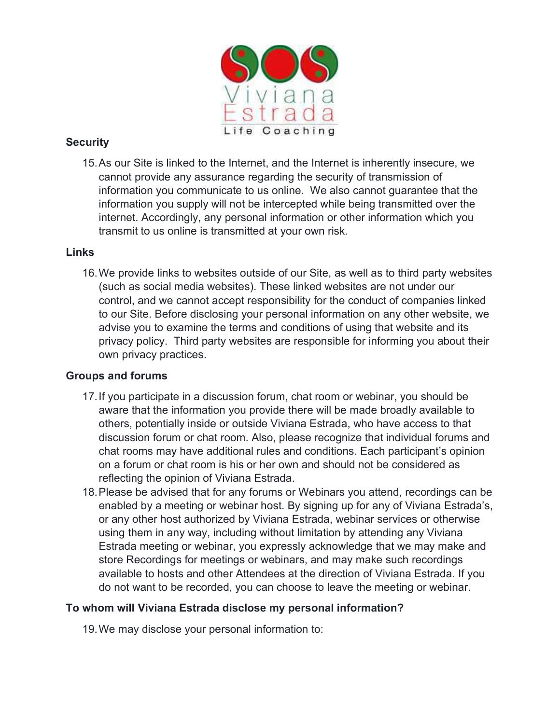

## **Security**

15. As our Site is linked to the Internet, and the Internet is inherently insecure, we cannot provide any assurance regarding the security of transmission of information you communicate to us online. We also cannot guarantee that the information you supply will not be intercepted while being transmitted over the internet. Accordingly, any personal information or other information which you transmit to us online is transmitted at your own risk.

#### Links

16. We provide links to websites outside of our Site, as well as to third party websites (such as social media websites). These linked websites are not under our control, and we cannot accept responsibility for the conduct of companies linked to our Site. Before disclosing your personal information on any other website, we advise you to examine the terms and conditions of using that website and its privacy policy. Third party websites are responsible for informing you about their own privacy practices.

## Groups and forums

- 17. If you participate in a discussion forum, chat room or webinar, you should be aware that the information you provide there will be made broadly available to others, potentially inside or outside Viviana Estrada, who have access to that discussion forum or chat room. Also, please recognize that individual forums and chat rooms may have additional rules and conditions. Each participant's opinion on a forum or chat room is his or her own and should not be considered as reflecting the opinion of Viviana Estrada.
- 18. Please be advised that for any forums or Webinars you attend, recordings can be enabled by a meeting or webinar host. By signing up for any of Viviana Estrada's, or any other host authorized by Viviana Estrada, webinar services or otherwise using them in any way, including without limitation by attending any Viviana Estrada meeting or webinar, you expressly acknowledge that we may make and store Recordings for meetings or webinars, and may make such recordings available to hosts and other Attendees at the direction of Viviana Estrada. If you do not want to be recorded, you can choose to leave the meeting or webinar.

## To whom will Viviana Estrada disclose my personal information?

19. We may disclose your personal information to: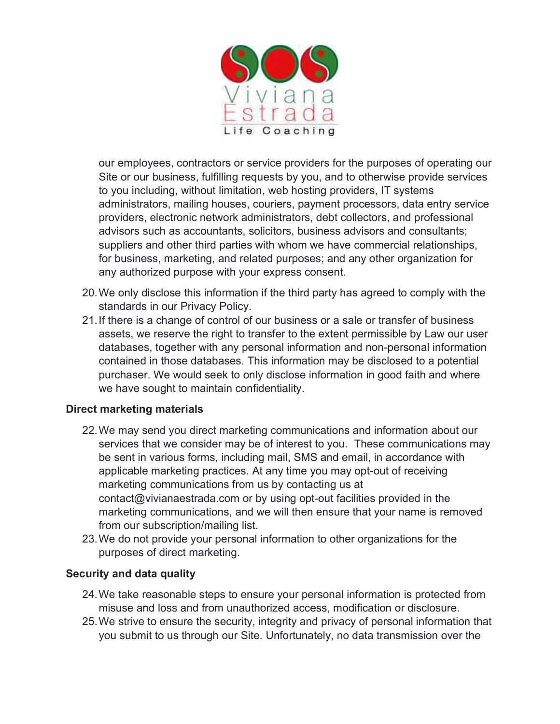

our employees, contractors or service providers for the purposes of operating our Site or our business, fulfilling requests by you, and to otherwise provide services to you including, without limitation, web hosting providers, IT systems administrators, mailing houses, couriers, payment processors, data entry service providers, electronic network administrators, debt collectors, and professional advisors such as accountants, solicitors, business advisors and consultants; suppliers and other third parties with whom we have commercial relationships, for business, marketing, and related purposes; and any other organization for any authorized purpose with your express consent.

- 20. We only disclose this information if the third party has agreed to comply with the standards in our Privacy Policy.
- 21. If there is a change of control of our business or a sale or transfer of business assets, we reserve the right to transfer to the extent permissible by Law our user databases, together with any personal information and non-personal information contained in those databases. This information may be disclosed to a potential purchaser. We would seek to only disclose information in good faith and where we have sought to maintain confidentiality.

## Direct marketing materials

- 22. We may send you direct marketing communications and information about our services that we consider may be of interest to you. These communications may be sent in various forms, including mail, SMS and email, in accordance with applicable marketing practices. At any time you may opt-out of receiving marketing communications from us by contacting us at contact@vivianaestrada.com or by using opt-out facilities provided in the marketing communications, and we will then ensure that your name is removed from our subscription/mailing list.
- 23. We do not provide your personal information to other organizations for the purposes of direct marketing.

## Security and data quality

- 24. We take reasonable steps to ensure your personal information is protected from misuse and loss and from unauthorized access, modification or disclosure.
- 25. We strive to ensure the security, integrity and privacy of personal information that you submit to us through our Site. Unfortunately, no data transmission over the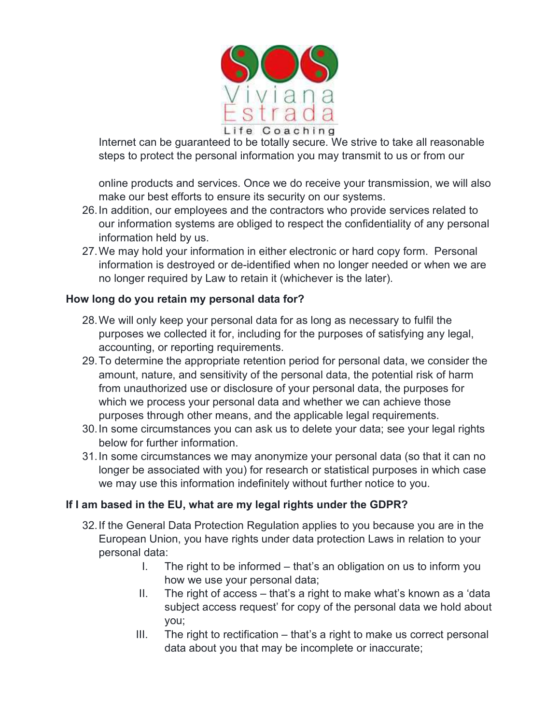

Internet can be guaranteed to be totally secure. We strive to take all reasonable steps to protect the personal information you may transmit to us or from our

online products and services. Once we do receive your transmission, we will also make our best efforts to ensure its security on our systems.

- 26. In addition, our employees and the contractors who provide services related to our information systems are obliged to respect the confidentiality of any personal information held by us.
- 27. We may hold your information in either electronic or hard copy form. Personal information is destroyed or de-identified when no longer needed or when we are no longer required by Law to retain it (whichever is the later).

## How long do you retain my personal data for?

- 28. We will only keep your personal data for as long as necessary to fulfil the purposes we collected it for, including for the purposes of satisfying any legal, accounting, or reporting requirements.
- 29. To determine the appropriate retention period for personal data, we consider the amount, nature, and sensitivity of the personal data, the potential risk of harm from unauthorized use or disclosure of your personal data, the purposes for which we process your personal data and whether we can achieve those purposes through other means, and the applicable legal requirements.
- 30. In some circumstances you can ask us to delete your data; see your legal rights below for further information.
- 31. In some circumstances we may anonymize your personal data (so that it can no longer be associated with you) for research or statistical purposes in which case we may use this information indefinitely without further notice to you.

## If I am based in the EU, what are my legal rights under the GDPR?

- 32. If the General Data Protection Regulation applies to you because you are in the European Union, you have rights under data protection Laws in relation to your personal data:
	- I. The right to be informed that's an obligation on us to inform you how we use your personal data;
	- II. The right of access that's a right to make what's known as a 'data subject access request' for copy of the personal data we hold about you;
	- III. The right to rectification that's a right to make us correct personal data about you that may be incomplete or inaccurate;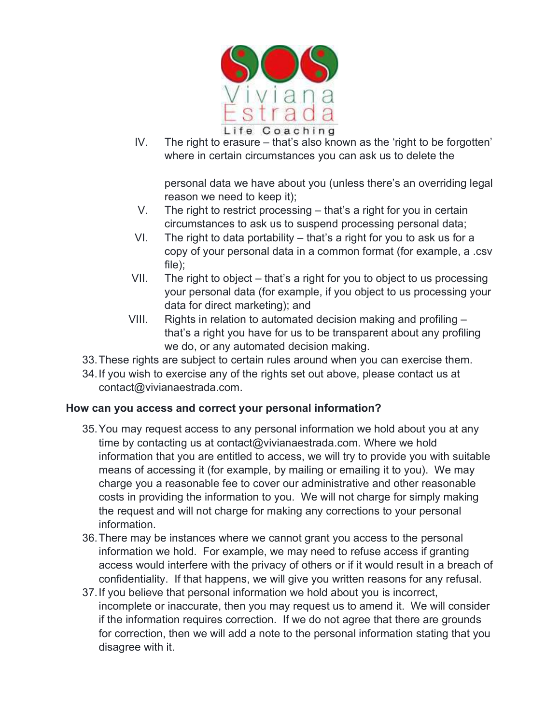

IV. The right to erasure – that's also known as the 'right to be forgotten' where in certain circumstances you can ask us to delete the

personal data we have about you (unless there's an overriding legal reason we need to keep it);

- V. The right to restrict processing that's a right for you in certain circumstances to ask us to suspend processing personal data;
- VI. The right to data portability that's a right for you to ask us for a copy of your personal data in a common format (for example, a .csv file);
- VII. The right to object that's a right for you to object to us processing your personal data (for example, if you object to us processing your data for direct marketing); and
- VIII. Rights in relation to automated decision making and profiling that's a right you have for us to be transparent about any profiling we do, or any automated decision making.
- 33. These rights are subject to certain rules around when you can exercise them.
- 34. If you wish to exercise any of the rights set out above, please contact us at contact@vivianaestrada.com.

## How can you access and correct your personal information?

- 35. You may request access to any personal information we hold about you at any time by contacting us at contact@vivianaestrada.com. Where we hold information that you are entitled to access, we will try to provide you with suitable means of accessing it (for example, by mailing or emailing it to you). We may charge you a reasonable fee to cover our administrative and other reasonable costs in providing the information to you. We will not charge for simply making the request and will not charge for making any corrections to your personal information.
- 36. There may be instances where we cannot grant you access to the personal information we hold. For example, we may need to refuse access if granting access would interfere with the privacy of others or if it would result in a breach of confidentiality. If that happens, we will give you written reasons for any refusal.
- 37. If you believe that personal information we hold about you is incorrect, incomplete or inaccurate, then you may request us to amend it. We will consider if the information requires correction. If we do not agree that there are grounds for correction, then we will add a note to the personal information stating that you disagree with it.